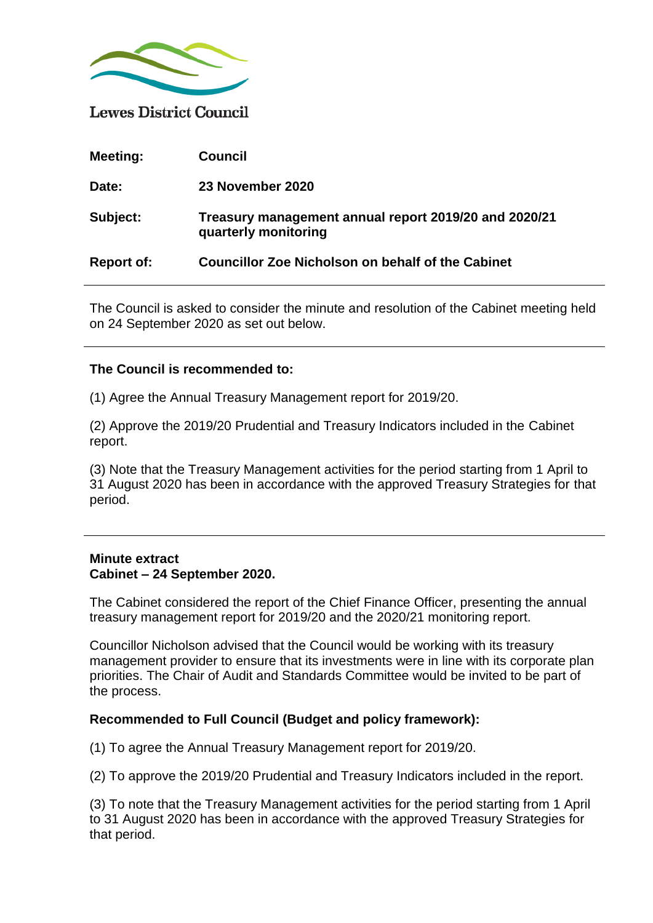

**Lewes District Council** 

| <b>Meeting:</b>   | <b>Council</b>                                                                |
|-------------------|-------------------------------------------------------------------------------|
| Date:             | 23 November 2020                                                              |
| Subject:          | Treasury management annual report 2019/20 and 2020/21<br>quarterly monitoring |
| <b>Report of:</b> | <b>Councillor Zoe Nicholson on behalf of the Cabinet</b>                      |

The Council is asked to consider the minute and resolution of the Cabinet meeting held on 24 September 2020 as set out below.

## **The Council is recommended to:**

(1) Agree the Annual Treasury Management report for 2019/20.

(2) Approve the 2019/20 Prudential and Treasury Indicators included in the Cabinet report.

(3) Note that the Treasury Management activities for the period starting from 1 April to 31 August 2020 has been in accordance with the approved Treasury Strategies for that period.

## **Minute extract Cabinet – 24 September 2020.**

The Cabinet considered the report of the Chief Finance Officer, presenting the annual treasury management report for 2019/20 and the 2020/21 monitoring report.

Councillor Nicholson advised that the Council would be working with its treasury management provider to ensure that its investments were in line with its corporate plan priorities. The Chair of Audit and Standards Committee would be invited to be part of the process.

## **Recommended to Full Council (Budget and policy framework):**

(1) To agree the Annual Treasury Management report for 2019/20.

(2) To approve the 2019/20 Prudential and Treasury Indicators included in the report.

(3) To note that the Treasury Management activities for the period starting from 1 April to 31 August 2020 has been in accordance with the approved Treasury Strategies for that period.